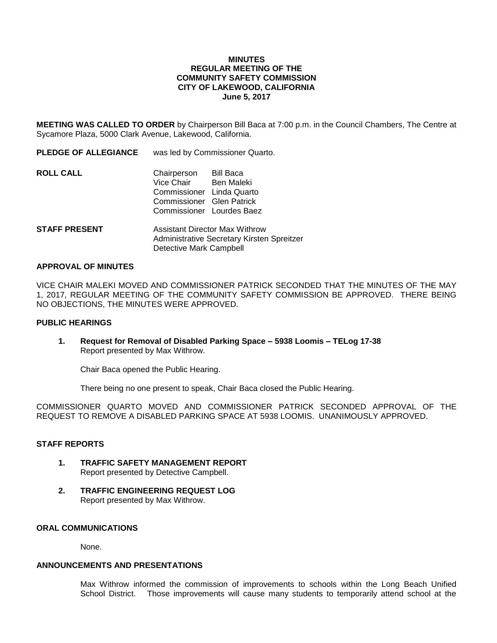### **MINUTES REGULAR MEETING OF THE COMMUNITY SAFETY COMMISSION CITY OF LAKEWOOD, CALIFORNIA June 5, 2017**

**MEETING WAS CALLED TO ORDER** by Chairperson Bill Baca at 7:00 p.m. in the Council Chambers, The Centre at Sycamore Plaza, 5000 Clark Avenue, Lakewood, California.

**PLEDGE OF ALLEGIANCE** was led by Commissioner Quarto.

| <b>ROLL CALL</b> | Chairperson<br>Vice Chair Ben Maleki<br>Commissioner Linda Quarto<br>Commissioner Glen Patrick<br>Commissioner Lourdes Baez | Bill Baca |
|------------------|-----------------------------------------------------------------------------------------------------------------------------|-----------|
|                  |                                                                                                                             |           |

**STAFF PRESENT** Assistant Director Max Withrow Administrative Secretary Kirsten Spreitzer Detective Mark Campbell

#### **APPROVAL OF MINUTES**

VICE CHAIR MALEKI MOVED AND COMMISSIONER PATRICK SECONDED THAT THE MINUTES OF THE MAY 1, 2017, REGULAR MEETING OF THE COMMUNITY SAFETY COMMISSION BE APPROVED. THERE BEING NO OBJECTIONS, THE MINUTES WERE APPROVED.

## **PUBLIC HEARINGS**

**1. Request for Removal of Disabled Parking Space – 5938 Loomis – TELog 17-38** Report presented by Max Withrow.

Chair Baca opened the Public Hearing.

There being no one present to speak, Chair Baca closed the Public Hearing.

COMMISSIONER QUARTO MOVED AND COMMISSIONER PATRICK SECONDED APPROVAL OF THE REQUEST TO REMOVE A DISABLED PARKING SPACE AT 5938 LOOMIS. UNANIMOUSLY APPROVED.

### **STAFF REPORTS**

- **1. TRAFFIC SAFETY MANAGEMENT REPORT** Report presented by Detective Campbell.
- **2. TRAFFIC ENGINEERING REQUEST LOG** Report presented by Max Withrow.

# **ORAL COMMUNICATIONS**

None.

# **ANNOUNCEMENTS AND PRESENTATIONS**

Max Withrow informed the commission of improvements to schools within the Long Beach Unified School District. Those improvements will cause many students to temporarily attend school at the